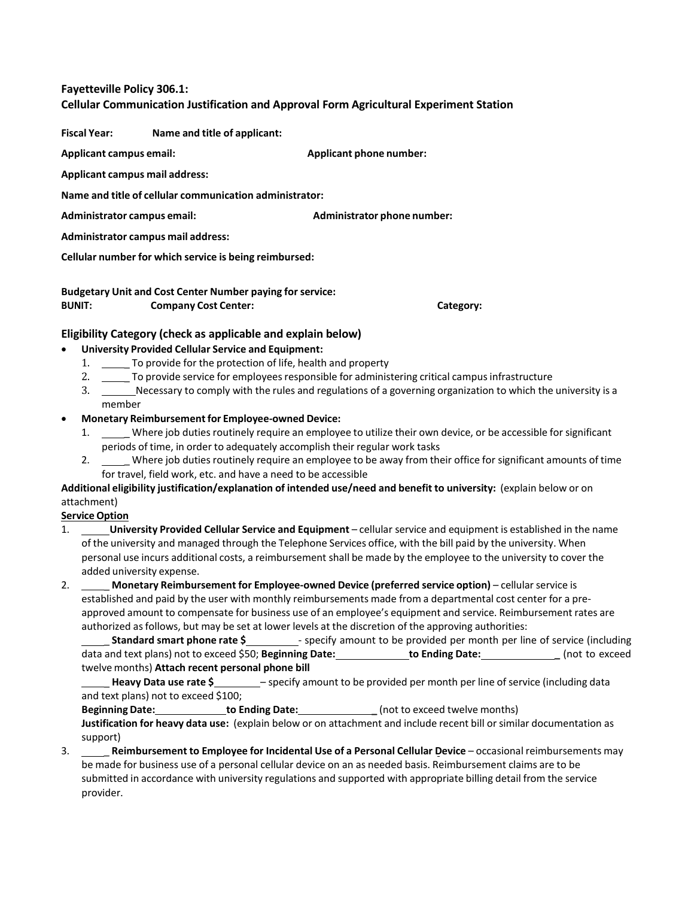#### **Fayetteville Policy 306.1:**

# **Cellular Communication Justification and Approval Form Agricultural Experiment Station**

**Fiscal Year: Name and title of applicant:**

**Applicant campus email: Applicant phone number:**

**Applicant campus mail address:**

**Name and title of cellular communication administrator:**

**Administrator campus email: Administrator phone number:**

**Administrator campus mail address:**

**Cellular number for which service is being reimbursed:**

**Budgetary Unit and Cost Center Number paying for service: BUNIT: Company Cost Center: Category:**

## **Eligibility Category (check as applicable and explain below)**

## • **University Provided Cellular Service and Equipment:**

- 1. \_\_\_\_\_\_ To provide for the protection of life, health and property
- 2. \_\_\_\_\_ To provide service for employees responsible for administering critical campus infrastructure
- 3. Necessary to comply with the rules and regulations of a governing organization to which the university is a member
- **Monetary Reimbursementfor Employee-owned Device:**
	- 1. \_ Where job duties routinely require an employee to utilize their own device, or be accessible for significant periods of time, in order to adequately accomplish their regular work tasks
	- 2. \_ Where job duties routinely require an employee to be away from their office for significant amounts of time for travel, field work, etc. and have a need to be accessible

**Additional eligibility justification/explanation of intended use/need and benefit to university:** (explain below or on attachment)

#### **Service Option**

- 1. **University Provided Cellular Service and Equipment** cellular service and equipment is established in the name of the university and managed through the Telephone Services office, with the bill paid by the university. When personal use incurs additional costs, a reimbursement shall be made by the employee to the university to cover the added university expense.
- 2. \_ **Monetary Reimbursement for Employee-owned Device (preferred service option)** cellularservice is established and paid by the user with monthly reimbursements made from a departmental cost center for a preapproved amount to compensate for business use of an employee's equipment and service. Reimbursement rates are authorized asfollows, but may be set at lower levels at the discretion of the approving authorities:

**Standard smart phone rate \$\_\_\_\_\_\_\_\_** specify amount to be provided per month per line of service (including data and text plans) not to exceed \$50; **Beginning Date: to Ending Date: \_** (not to exceed twelve months) **Attach recent personal phone bill**

\_ **Heavy Data use rate \$** – specify amount to be provided per month per line of service (including data and text plans) not to exceed \$100;

**BeginningDate: to Ending Date: \_** (not to exceed twelve months)

**Justification for heavy data use:** (explain below or on attachment and include recent bill orsimilar documentation as support)

3. \_ **Reimbursement to Employee for Incidental Use of a Personal Cellular Device** – occasional reimbursements may be made for business use of a personal cellular device on an as needed basis. Reimbursement claims are to be submitted in accordance with university regulations and supported with appropriate billing detail from the service provider.